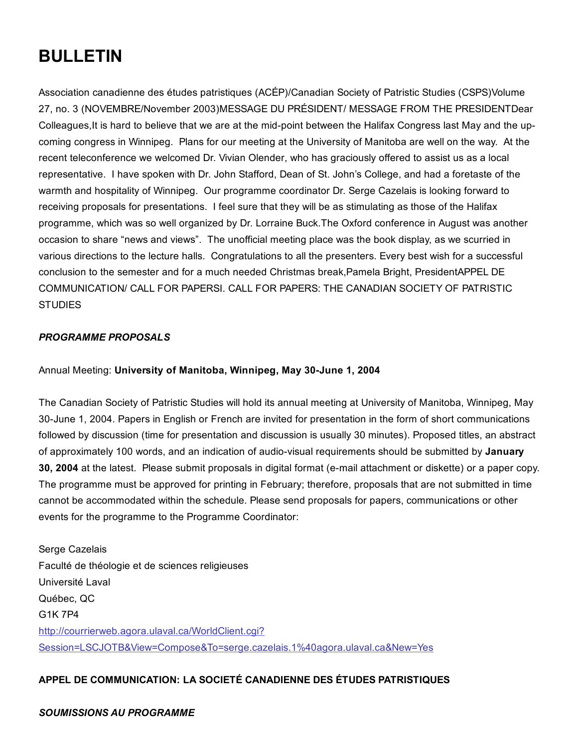# BULLETIN

Association canadienne des études patristiques (ACÉP)/Canadian Society of Patristic Studies (CSPS)Volume 27, no. 3 (NOVEMBRE/November 2003)MESSAGE DU PRÉSIDENT/ MESSAGE FROM THE PRESIDENTDear Colleagues, It is hard to believe that we are at the mid-point between the Halifax Congress last May and the upcoming congress in Winnipeg. Plans for our meeting at the University of Manitoba are well on the way. At the recent teleconference we welcomed Dr. Vivian Olender, who has graciously offered to assist us as a local representative. I have spoken with Dr. John Stafford, Dean of St. John's College, and had a foretaste of the warmth and hospitality of Winnipeg. Our programme coordinator Dr. Serge Cazelais is looking forward to receiving proposals for presentations. I feel sure that they will be as stimulating as those of the Halifax programme, which was so well organized by Dr. Lorraine Buck.The Oxford conference in August was another occasion to share "news and views". The unofficial meeting place was the book display, as we scurried in various directions to the lecture halls. Congratulations to all the presenters. Every best wish for a successful conclusion to the semester and for a much needed Christmas break,Pamela Bright, PresidentAPPEL DE COMMUNICATION/ CALL FOR PAPERSI. CALL FOR PAPERS: THE CANADIAN SOCIETY OF PATRISTIC **STUDIES** 

# *PROGRAMME PROPOSALS*

Annual Meeting: University of Manitoba, Winnipeg, May 30-June 1, 2004

The Canadian Society of Patristic Studies will hold its annual meeting at University of Manitoba, Winnipeg, May 30-June 1, 2004. Papers in English or French are invited for presentation in the form of short communications followed by discussion (time for presentation and discussion is usually 30 minutes). Proposed titles, an abstract of approximately 100 words, and an indication of audio-visual requirements should be submitted by January 30, 2004 at the latest. Please submit proposals in digital format (e-mail attachment or diskette) or a paper copy. The programme must be approved for printing in February; therefore, proposals that are not submitted in time cannot be accommodated within the schedule. Please send proposals for papers, communications or other events for the programme to the Programme Coordinator:

Serge Cazelais Faculté de théologie et de sciences religieuses Université Laval Québec, QC G1K 7P4 http://courrierweb.agora.ulaval.ca/WorldClient.cgi? [Session=LSCJOTB&View=Compose&To=serge.cazelais.1%40agora.ulaval.ca&New=Yes](http://web.archive.org/web/20150201000053/http://courrierweb.agora.ulaval.ca/WorldClient.cgi?Session=LSCJOTB&View=Compose&To=serge.cazelais.1%40agora.ulaval.ca&New=Yes)

# APPEL DE COMMUNICATION: LA SOCIETÉ CANADIENNE DES ÉTUDES PATRISTIQUES

#### *SOUMISSIONS AU PROGRAMME*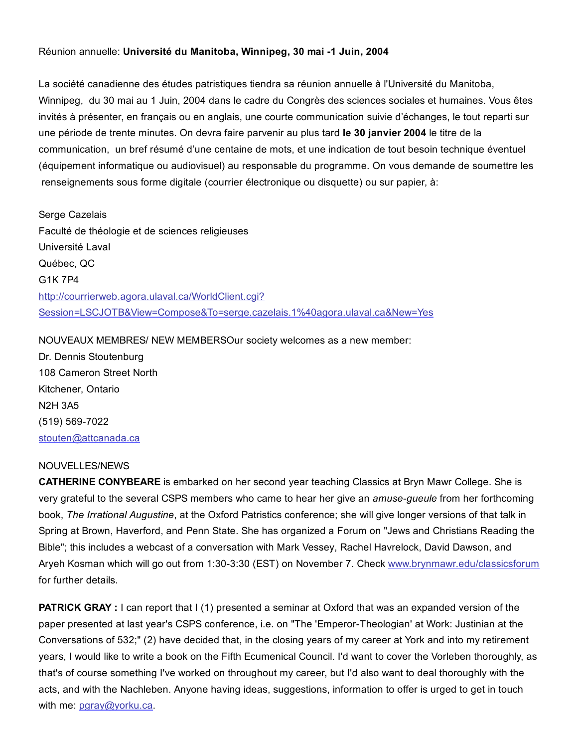#### Réunion annuelle: Université du Manitoba, Winnipeg, 30 mai -1 Juin, 2004

La société canadienne des études patristiques tiendra sa réunion annuelle à l'Université du Manitoba, Winnipeg, du 30 mai au 1 Juin, 2004 dans le cadre du Congrès des sciences sociales et humaines. Vous êtes invités à présenter, en français ou en anglais, une courte communication suivie d'échanges, le tout reparti sur une période de trente minutes. On devra faire parvenir au plus tard le 30 janvier 2004 le titre de la communication, un bref résumé d'une centaine de mots, et une indication de tout besoin technique éventuel (équipement informatique ou audiovisuel) au responsable du programme. On vous demande de soumettre les renseignements sous forme digitale (courrier électronique ou disquette) ou sur papier, à:

Serge Cazelais Faculté de théologie et de sciences religieuses Université Laval Québec, QC G1K 7P4 http://courrierweb.agora.ulaval.ca/WorldClient.cgi? [Session=LSCJOTB&View=Compose&To=serge.cazelais.1%40agora.ulaval.ca&New=Yes](http://web.archive.org/web/20150201000053/http://courrierweb.agora.ulaval.ca/WorldClient.cgi?Session=LSCJOTB&View=Compose&To=serge.cazelais.1%40agora.ulaval.ca&New=Yes)

NOUVEAUX MEMBRES/ NEW MEMBERSOur society welcomes as a new member: Dr. Dennis Stoutenburg 108 Cameron Street North Kitchener, Ontario N2H 3A5 (519) 569-7022 [stouten@attcanada.ca](http://web.archive.org/web/20150201000053/http://courrierweb.agora.ulaval.ca/WorldClient.cgi?Session=KOTZIBB&View=Compose&To=stouten%40attcanada.ca&New=Yes)

#### NOUVELLES/NEWS

CATHERINE CONYBEARE is embarked on her second year teaching Classics at Bryn Mawr College. She is very grateful to the several CSPS members who came to hear her give an *amuse-gueule* from her forthcoming book, *The Irrational Augustine*, at the Oxford Patristics conference; she will give longer versions of that talk in Spring at Brown, Haverford, and Penn State. She has organized a Forum on "Jews and Christians Reading the Bible"; this includes a webcast of a conversation with Mark Vessey, Rachel Havrelock, David Dawson, and Aryeh Kosman which will go out from 1:30-3:30 (EST) on November 7. Check [www.brynmawr.edu/classicsforum](http://web.archive.org/web/20150201000053/http://www.brynmawr.edu/classicsforum) for further details.

**PATRICK GRAY** : I can report that I (1) presented a seminar at Oxford that was an expanded version of the paper presented at last year's CSPS conference, i.e. on "The 'Emperor-Theologian' at Work: Justinian at the Conversations of 532;" (2) have decided that, in the closing years of my career at York and into my retirement years, I would like to write a book on the Fifth Ecumenical Council. I'd want to cover the Vorleben thoroughly, as that's of course something I've worked on throughout my career, but I'd also want to deal thoroughly with the acts, and with the Nachleben. Anyone having ideas, suggestions, information to offer is urged to get in touch with me: paray@yorku.ca.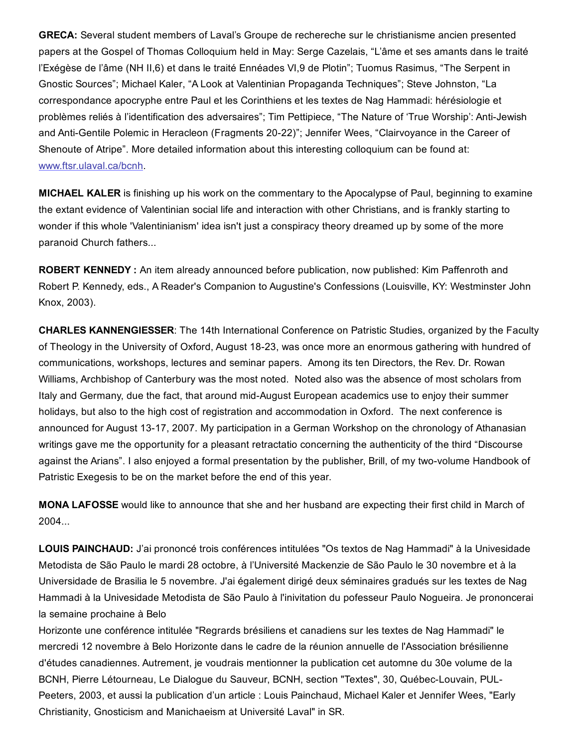GRECA: Several student members of Laval's Groupe de rechereche sur le christianisme ancien presented papers at the Gospel of Thomas Colloquium held in May: Serge Cazelais, "L'âme et ses amants dans le traité l'Exégèse de l'âme (NH II,6) et dans le traité Ennéades VI,9 de Plotin"; Tuomus Rasimus, "The Serpent in Gnostic Sources"; Michael Kaler, "A Look at Valentinian Propaganda Techniques"; Steve Johnston, "La correspondance apocryphe entre Paul et les Corinthiens et les textes de Nag Hammadi: hérésiologie et problèmes reliés à l'identification des adversaires"; Tim Pettipiece, "The Nature of 'True Worship': Anti-Jewish and Anti-Gentile Polemic in Heracleon (Fragments 20-22)"; Jennifer Wees, "Clairvoyance in the Career of Shenoute of Atripe". More detailed information about this interesting colloquium can be found at: [www.ftsr.ulaval.ca/bcnh](http://web.archive.org/web/20150201000053/http://www.ftsr.ulaval.ca/bcnh).

MICHAEL KALER is finishing up his work on the commentary to the Apocalypse of Paul, beginning to examine the extant evidence of Valentinian social life and interaction with other Christians, and is frankly starting to wonder if this whole 'Valentinianism' idea isn't just a conspiracy theory dreamed up by some of the more paranoid Church fathers...

ROBERT KENNEDY : An item already announced before publication, now published: Kim Paffenroth and Robert P. Kennedy, eds., A Reader's Companion to Augustine's Confessions (Louisville, KY: Westminster John Knox, 2003).

CHARLES KANNENGIESSER: The 14th International Conference on Patristic Studies, organized by the Faculty of Theology in the University of Oxford, August 1823, was once more an enormous gathering with hundred of communications, workshops, lectures and seminar papers. Among its ten Directors, the Rev. Dr. Rowan Williams, Archbishop of Canterbury was the most noted. Noted also was the absence of most scholars from Italy and Germany, due the fact, that around mid-August European academics use to enjoy their summer holidays, but also to the high cost of registration and accommodation in Oxford. The next conference is announced for August 13-17, 2007. My participation in a German Workshop on the chronology of Athanasian writings gave me the opportunity for a pleasant retractatio concerning the authenticity of the third "Discourse against the Arians". I also enjoyed a formal presentation by the publisher, Brill, of my two-volume Handbook of Patristic Exegesis to be on the market before the end of this year.

MONA LAFOSSE would like to announce that she and her husband are expecting their first child in March of 2004...

LOUIS PAINCHAUD: J'ai prononcé trois conférences intitulées "Os textos de Nag Hammadi" à la Univesidade Metodista de São Paulo le mardi 28 octobre, à l'Université Mackenzie de São Paulo le 30 novembre et à la Universidade de Brasilia le 5 novembre. J'ai également dirigé deux séminaires gradués sur les textes de Nag Hammadi à la Univesidade Metodista de São Paulo à l'inivitation du pofesseur Paulo Nogueira. Je prononcerai la semaine prochaine à Belo

Horizonte une conférence intitulée "Regrards brésiliens et canadiens sur les textes de Nag Hammadi" le mercredi 12 novembre à Belo Horizonte dans le cadre de la réunion annuelle de l'Association brésilienne d'études canadiennes. Autrement, je voudrais mentionner la publication cet automne du 30e volume de la BCNH, Pierre Létourneau, Le Dialogue du Sauveur, BCNH, section "Textes", 30, Québec-Louvain, PUL-Peeters, 2003, et aussi la publication d'un article : Louis Painchaud, Michael Kaler et Jennifer Wees, "Early Christianity, Gnosticism and Manichaeism at Université Laval" in SR.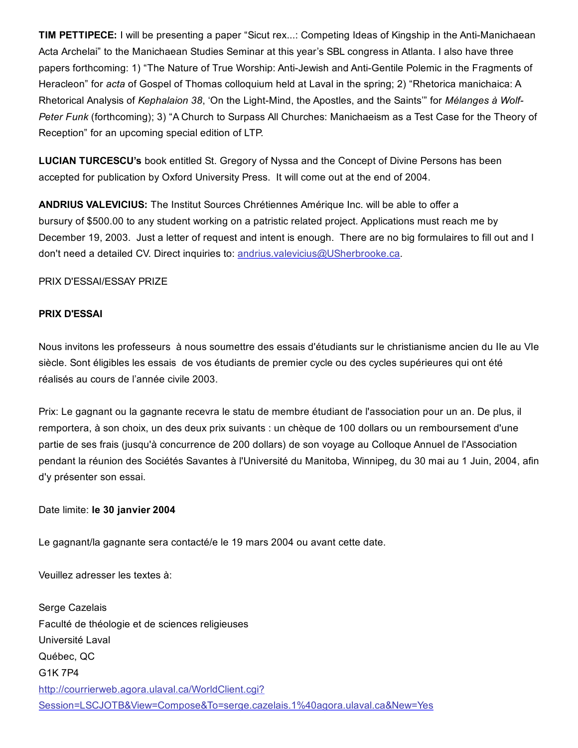TIM PETTIPECE: I will be presenting a paper "Sicut rex...: Competing Ideas of Kingship in the Anti-Manichaean Acta Archelai" to the Manichaean Studies Seminar at this year's SBL congress in Atlanta. I also have three papers forthcoming: 1) "The Nature of True Worship: Anti-Jewish and Anti-Gentile Polemic in the Fragments of Heracleon" for *acta* of Gospel of Thomas colloquium held at Laval in the spring; 2) "Rhetorica manichaica: A Rhetorical Analysis of *Kephalaion* 38, 'On the Light-Mind, the Apostles, and the Saints" for *Mélanges à Wolf-Peter Funk* (forthcoming); 3) "A Church to Surpass All Churches: Manichaeism as a Test Case for the Theory of Reception" for an upcoming special edition of LTP.

LUCIAN TURCESCU's book entitled St. Gregory of Nyssa and the Concept of Divine Persons has been accepted for publication by Oxford University Press. It will come out at the end of 2004.

ANDRIUS VALEVICIUS: The Institut Sources Chrétiennes Amérique Inc. will be able to offer a bursury of \$500.00 to any student working on a patristic related project. Applications must reach me by December 19, 2003. Just a letter of request and intent is enough. There are no big formulaires to fill out and I don't need a detailed CV. Direct inquiries to: [andrius.valevicius@USherbrooke.ca.](mailto:andrius.valevicius@USherbrooke.ca)

PRIX D'ESSAI/ESSAY PRIZE

## PRIX D'ESSAI

Nous invitons les professeurs à nous soumettre des essais d'étudiants sur le christianisme ancien du IIe au VIe siècle. Sont éligibles les essais de vos étudiants de premier cycle ou des cycles supérieures qui ont été réalisés au cours de l'année civile 2003.

Prix: Le gagnant ou la gagnante recevra le statu de membre étudiant de l'association pour un an. De plus, il remportera, à son choix, un des deux prix suivants : un chèque de 100 dollars ou un remboursement d'une partie de ses frais (jusqu'à concurrence de 200 dollars) de son voyage au Colloque Annuel de l'Association pendant la réunion des Sociétés Savantes à l'Université du Manitoba, Winnipeg, du 30 mai au 1 Juin, 2004, afin d'y présenter son essai.

Date limite: le 30 janvier 2004

Le gagnant/la gagnante sera contacté/e le 19 mars 2004 ou avant cette date.

Veuillez adresser les textes à:

Serge Cazelais Faculté de théologie et de sciences religieuses Université Laval Québec, QC G1K 7P4 http://courrierweb.agora.ulaval.ca/WorldClient.cgi? [Session=LSCJOTB&View=Compose&To=serge.cazelais.1%40agora.ulaval.ca&New=Yes](http://web.archive.org/web/20150201000053/http://courrierweb.agora.ulaval.ca/WorldClient.cgi?Session=LSCJOTB&View=Compose&To=serge.cazelais.1%40agora.ulaval.ca&New=Yes)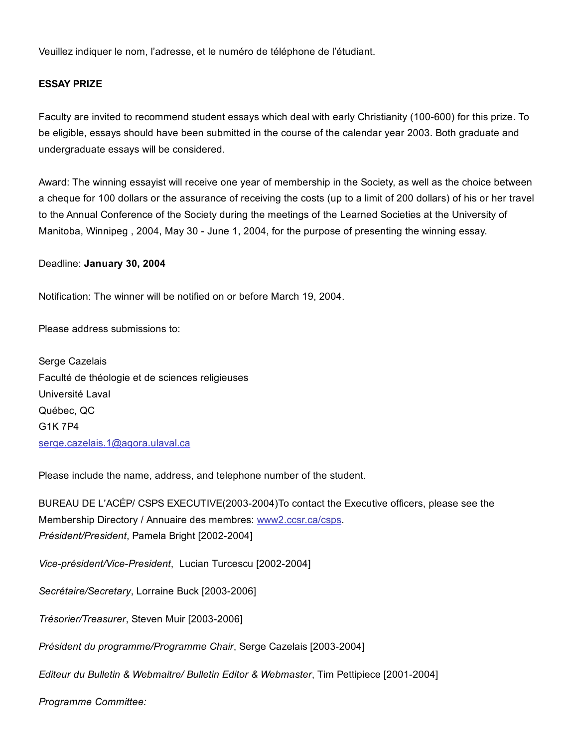Veuillez indiquer le nom, l'adresse, et le numéro de téléphone de l'étudiant.

## ESSAY PRIZE

Faculty are invited to recommend student essays which deal with early Christianity (100-600) for this prize. To be eligible, essays should have been submitted in the course of the calendar year 2003. Both graduate and undergraduate essays will be considered.

Award: The winning essayist will receive one year of membership in the Society, as well as the choice between a cheque for 100 dollars or the assurance of receiving the costs (up to a limit of 200 dollars) of his or her travel to the Annual Conference of the Society during the meetings of the Learned Societies at the University of Manitoba, Winnipeg, 2004, May 30 - June 1, 2004, for the purpose of presenting the winning essay.

Deadline: January 30, 2004

Notification: The winner will be notified on or before March 19, 2004.

Please address submissions to:

Serge Cazelais Faculté de théologie et de sciences religieuses Université Laval Québec, QC G1K 7P4 [serge.cazelais.1@agora.ulaval.ca](http://web.archive.org/web/20150201000053/http://courrierweb.agora.ulaval.ca/WorldClient.cgi?Session=LSCJOTB&View=Compose&To=serge.cazelais.1%40agora.ulaval.ca&New=Yes)

Please include the name, address, and telephone number of the student.

BUREAU DE L'ACÉP/ CSPS EXECUTIVE(2003-2004)To contact the Executive officers, please see the Membership Directory / Annuaire des membres: [www2.ccsr.ca/csps.](http://web.archive.org/web/20150201000053/http://www2.ccsr.ca/csps) *Président/President*, Pamela Bright [2002-2004]

*Vice-président/Vice-President, Lucian Turcescu* [2002-2004]

Secrétaire/Secretary, Lorraine Buck [2003-2006]

**Trésorier/Treasurer, Steven Muir [2003-2006]** 

*Président du programme/Programme Chair, Serge Cazelais [2003-2004]* 

*Editeur du Bulletin & Webmaitre/ Bulletin Editor & Webmaster, Tim Pettipiece [2001-2004]* 

*Programme Committee:*